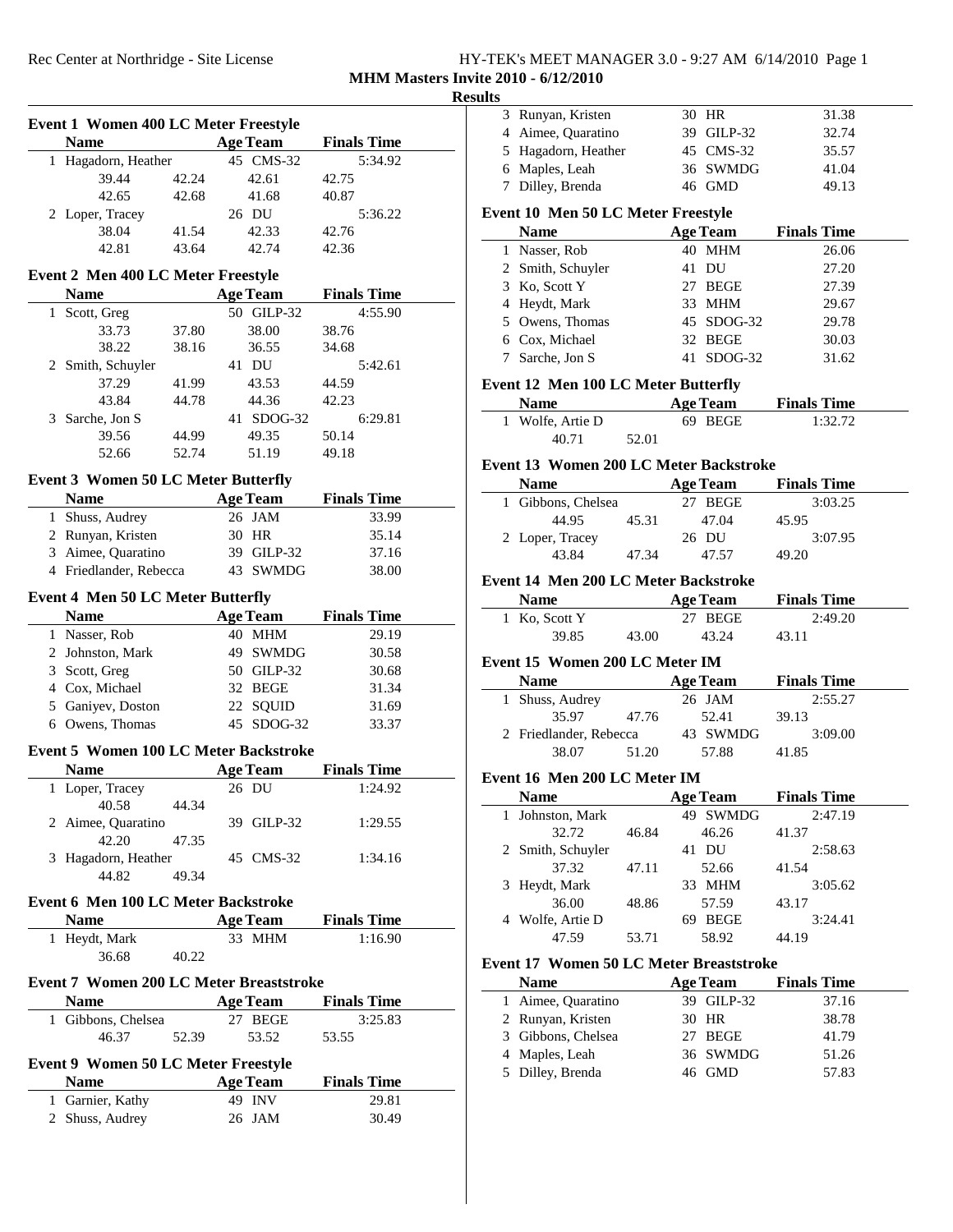| HY-TEK's MEET MANAGER 3.0 - 9:27 AM 6/14/2010 Page 1 |  |
|------------------------------------------------------|--|
| <b>MHM Masters Invite 2010 - 6/12/2010</b>           |  |

# **Results**

|   | <b>Event 1 Women 400 LC Meter Freestyle</b>                 |       |                 |                    |  |
|---|-------------------------------------------------------------|-------|-----------------|--------------------|--|
|   | <b>Name</b>                                                 |       | <b>Age Team</b> | <b>Finals Time</b> |  |
|   | 1 Hagadorn, Heather                                         |       | 45 CMS-32       | 5:34.92            |  |
|   | 39.44                                                       | 42.24 | 42.61           | 42.75              |  |
|   | 42.65                                                       | 42.68 | 41.68           | 40.87              |  |
|   | 2 Loper, Tracey                                             |       | 26 DU           | 5:36.22            |  |
|   | 38.04                                                       | 41.54 | 42.33           | 42.76              |  |
|   | 42.81                                                       | 43.64 | 42.74           | 42.36              |  |
|   | Event 2 Men 400 LC Meter Freestyle                          |       |                 |                    |  |
|   | <b>Name</b>                                                 |       | <b>Age Team</b> | <b>Finals Time</b> |  |
|   | 1 Scott, Greg                                               |       | 50 GILP-32      | 4:55.90            |  |
|   | 33.73                                                       | 37.80 | 38.00           | 38.76              |  |
|   | 38.22                                                       | 38.16 | 36.55           | 34.68              |  |
|   | 2 Smith, Schuyler                                           |       | 41 DU           | 5:42.61            |  |
|   | 37.29                                                       | 41.99 | 43.53           | 44.59              |  |
|   | 43.84                                                       | 44.78 | 44.36           | 42.23              |  |
|   | 3 Sarche, Jon S                                             |       | 41 SDOG-32      | 6:29.81            |  |
|   |                                                             | 44.99 |                 | 50.14              |  |
|   | 39.56<br>52.66                                              | 52.74 | 49.35<br>51.19  | 49.18              |  |
|   |                                                             |       |                 |                    |  |
|   | <b>Event 3 Women 50 LC Meter Butterfly</b>                  |       |                 |                    |  |
|   | <b>Name</b>                                                 |       | <b>Age Team</b> | <b>Finals Time</b> |  |
|   | 1 Shuss, Audrey                                             |       | 26 JAM          | 33.99              |  |
|   | 2 Runyan, Kristen                                           |       | 30 HR           | 35.14              |  |
|   | 3 Aimee, Quaratino                                          |       | 39 GILP-32      | 37.16              |  |
|   | 4 Friedlander, Rebecca                                      |       | 43 SWMDG        | 38.00              |  |
|   | Event 4 Men 50 LC Meter Butterfly                           |       |                 |                    |  |
|   | <b>Name</b>                                                 |       | <b>Age Team</b> | <b>Finals Time</b> |  |
|   | 1 Nasser, Rob                                               |       | 40 MHM          | 29.19              |  |
|   | 2 Johnston, Mark                                            |       | 49 SWMDG        | 30.58              |  |
|   | 3 Scott, Greg                                               |       | 50 GILP-32      | 30.68              |  |
|   | 4 Cox, Michael                                              |       | 32 BEGE         | 31.34              |  |
|   | 5 Ganiyev, Doston                                           |       | 22 SQUID        | 31.69              |  |
|   | 6 Owens, Thomas                                             |       | 45 SDOG-32      | 33.37              |  |
|   |                                                             |       |                 |                    |  |
|   | <b>Event 5 Women 100 LC Meter Backstroke</b><br><b>Name</b> |       | <b>Age Team</b> | <b>Finals Time</b> |  |
| 1 | Loper, Tracey                                               |       | 26 DU           | 1:24.92            |  |
|   | 40.58                                                       | 44.34 |                 |                    |  |
|   | 2 Aimee, Quaratino                                          |       | 39 GILP-32      | 1:29.55            |  |
|   | 42.20                                                       | 47.35 |                 |                    |  |
|   | 3 Hagadorn, Heather                                         |       | 45 CMS-32       | 1:34.16            |  |
|   | 44.82                                                       | 49.34 |                 |                    |  |
|   |                                                             |       |                 |                    |  |
|   | Event 6 Men 100 LC Meter Backstroke                         |       |                 |                    |  |
|   | <b>Name</b>                                                 |       | <b>Age Team</b> | <b>Finals Time</b> |  |
|   | 1 Heydt, Mark                                               |       | 33 MHM          | 1:16.90            |  |
|   | 36.68                                                       | 40.22 |                 |                    |  |
|   | <b>Event 7 Women 200 LC Meter Breaststroke</b>              |       |                 |                    |  |
|   | <b>Name</b>                                                 |       | <b>Age Team</b> | <b>Finals Time</b> |  |
|   | 1 Gibbons, Chelsea                                          |       | 27 BEGE         | 3:25.83            |  |
|   | 46.37                                                       | 52.39 | 53.52           | 53.55              |  |
|   |                                                             |       |                 |                    |  |
|   | <b>Event 9 Women 50 LC Meter Freestyle</b>                  |       |                 |                    |  |
|   | <b>Name</b>                                                 |       | <b>Age Team</b> | <b>Finals Time</b> |  |
|   | 1 Garnier, Kathy                                            |       | 49 INV          | 29.81              |  |
|   | 2 Shuss, Audrey                                             |       | 26 JAM          | 30.49              |  |
|   |                                                             |       |                 |                    |  |

| uts |                                                           |       |                 |                    |  |
|-----|-----------------------------------------------------------|-------|-----------------|--------------------|--|
|     | 3 Runyan, Kristen                                         |       | 30 HR           | 31.38              |  |
|     | 4 Aimee, Quaratino                                        |       | 39 GILP-32      | 32.74              |  |
|     | 5 Hagadorn, Heather                                       |       | 45 CMS-32       | 35.57              |  |
|     | 6 Maples, Leah                                            |       | 36 SWMDG        | 41.04              |  |
|     | 7 Dilley, Brenda                                          |       | 46 GMD          | 49.13              |  |
|     |                                                           |       |                 |                    |  |
|     | <b>Event 10 Men 50 LC Meter Freestyle</b>                 |       |                 |                    |  |
|     | <b>Name</b>                                               |       | <b>Age Team</b> | <b>Finals Time</b> |  |
|     | 1 Nasser, Rob                                             |       | 40 MHM          | 26.06              |  |
|     | 2 Smith, Schuyler                                         |       | 41 DU           | 27.20              |  |
|     | 3 Ko, Scott Y                                             |       | 27 BEGE         | 27.39              |  |
|     | 4 Heydt, Mark                                             |       | 33 MHM          | 29.67              |  |
|     | 5 Owens, Thomas                                           |       | 45 SDOG-32      | 29.78              |  |
|     | 6 Cox, Michael                                            |       | 32 BEGE         | 30.03              |  |
| 7   | Sarche, Jon S                                             |       | 41 SDOG-32      | 31.62              |  |
|     |                                                           |       |                 |                    |  |
|     | <b>Event 12 Men 100 LC Meter Butterfly</b><br><b>Name</b> |       |                 |                    |  |
|     |                                                           |       | <b>Age Team</b> | <b>Finals Time</b> |  |
|     | 1 Wolfe, Artie D                                          |       | 69 BEGE         | 1:32.72            |  |
|     | 40.71                                                     | 52.01 |                 |                    |  |
|     | Event 13 Women 200 LC Meter Backstroke                    |       |                 |                    |  |
|     | <b>Name</b>                                               |       | <b>Age Team</b> | <b>Finals Time</b> |  |
|     | 1 Gibbons, Chelsea                                        |       | 27 BEGE         | 3:03.25            |  |
|     | 44.95                                                     | 45.31 | 47.04           | 45.95              |  |
|     | 2 Loper, Tracey                                           |       | 26 DU           | 3:07.95            |  |
|     | 43.84                                                     | 47.34 | 47.57           | 49.20              |  |
|     |                                                           |       |                 |                    |  |
|     | Event 14 Men 200 LC Meter Backstroke                      |       |                 |                    |  |
|     | <b>Name</b>                                               |       | <b>Age Team</b> | <b>Finals Time</b> |  |
|     | 1 Ko, Scott Y                                             |       | 27 BEGE         | 2:49.20            |  |
|     | 39.85                                                     | 43.00 | 43.24           | 43.11              |  |
|     | Event 15 Women 200 LC Meter IM                            |       |                 |                    |  |
|     | <b>Name</b>                                               |       | <b>Age Team</b> | <b>Finals Time</b> |  |
|     | 1 Shuss, Audrey                                           |       | 26 JAM          | 2:55.27            |  |
|     | 35.97                                                     | 47.76 | 52.41           | 39.13              |  |
|     | 2 Friedlander, Rebecca                                    |       | 43 SWMDG        | 3:09.00            |  |
|     | 38.07                                                     | 51.20 | 57.88           | 41.85              |  |
|     |                                                           |       |                 |                    |  |
|     | Event 16 Men 200 LC Meter IM                              |       |                 |                    |  |
|     | <b>Name</b>                                               |       | <b>Age Team</b> | <b>Finals Time</b> |  |
| 1   | Johnston, Mark                                            |       | 49 SWMDG        | 2:47.19            |  |
|     | 32.72                                                     | 46.84 | 46.26           | 41.37              |  |
| 2   | Smith, Schuyler                                           |       | 41 DU           | 2:58.63            |  |
|     | 37.32                                                     | 47.11 | 52.66           | 41.54              |  |
| 3   | Heydt, Mark                                               |       | 33 MHM          | 3:05.62            |  |
|     | 36.00                                                     | 48.86 | 57.59           | 43.17              |  |
|     | 4 Wolfe, Artie D                                          |       | 69 BEGE         | 3:24.41            |  |
|     | 47.59                                                     | 53.71 | 58.92           | 44.19              |  |
|     | Event 17 Women 50 LC Meter Breaststroke                   |       |                 |                    |  |
|     | <b>Name</b>                                               |       | <b>Age Team</b> | <b>Finals Time</b> |  |
| 1   | Aimee, Quaratino                                          |       | 39 GILP-32      | 37.16              |  |
|     | 2 Runyan, Kristen                                         |       | 30 HR           | 38.78              |  |
|     | 3 Gibbons, Chelsea                                        |       | 27 BEGE         | 41.79              |  |
|     |                                                           |       |                 |                    |  |
|     |                                                           |       |                 |                    |  |
| 4   | Maples, Leah                                              |       | 36 SWMDG        | 51.26              |  |
| 5   | Dilley, Brenda                                            |       | 46 GMD          | 57.83              |  |